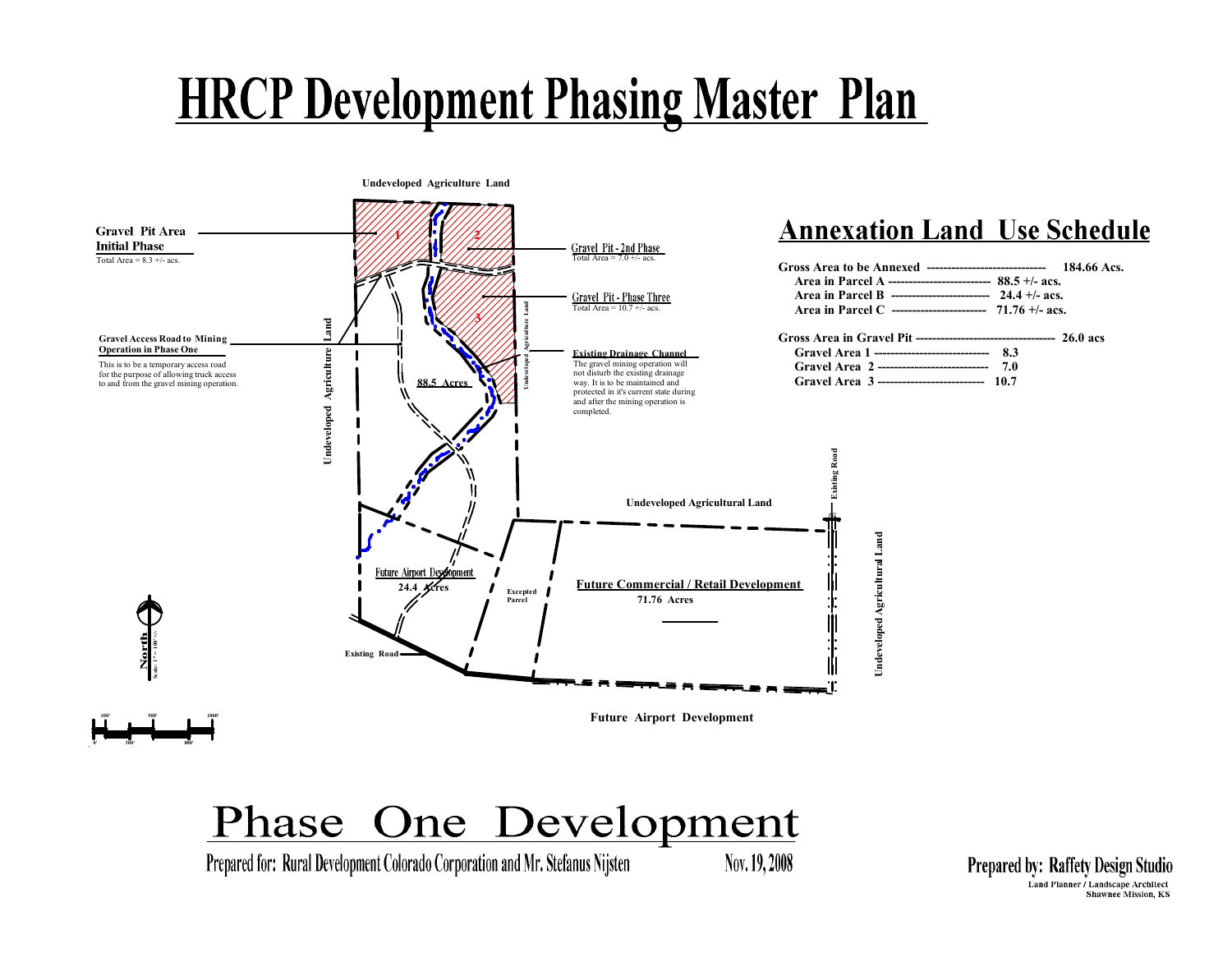**Undeveloped Agriculture Land** 



Prepared for: Rural Development Colorado Corporation and Mr. Stefanus Nijsten

Nov. 19, 2008

**Prepared by: Raffety Design Studio** Land Planner / Landscape Architect Shawnee Mission, KS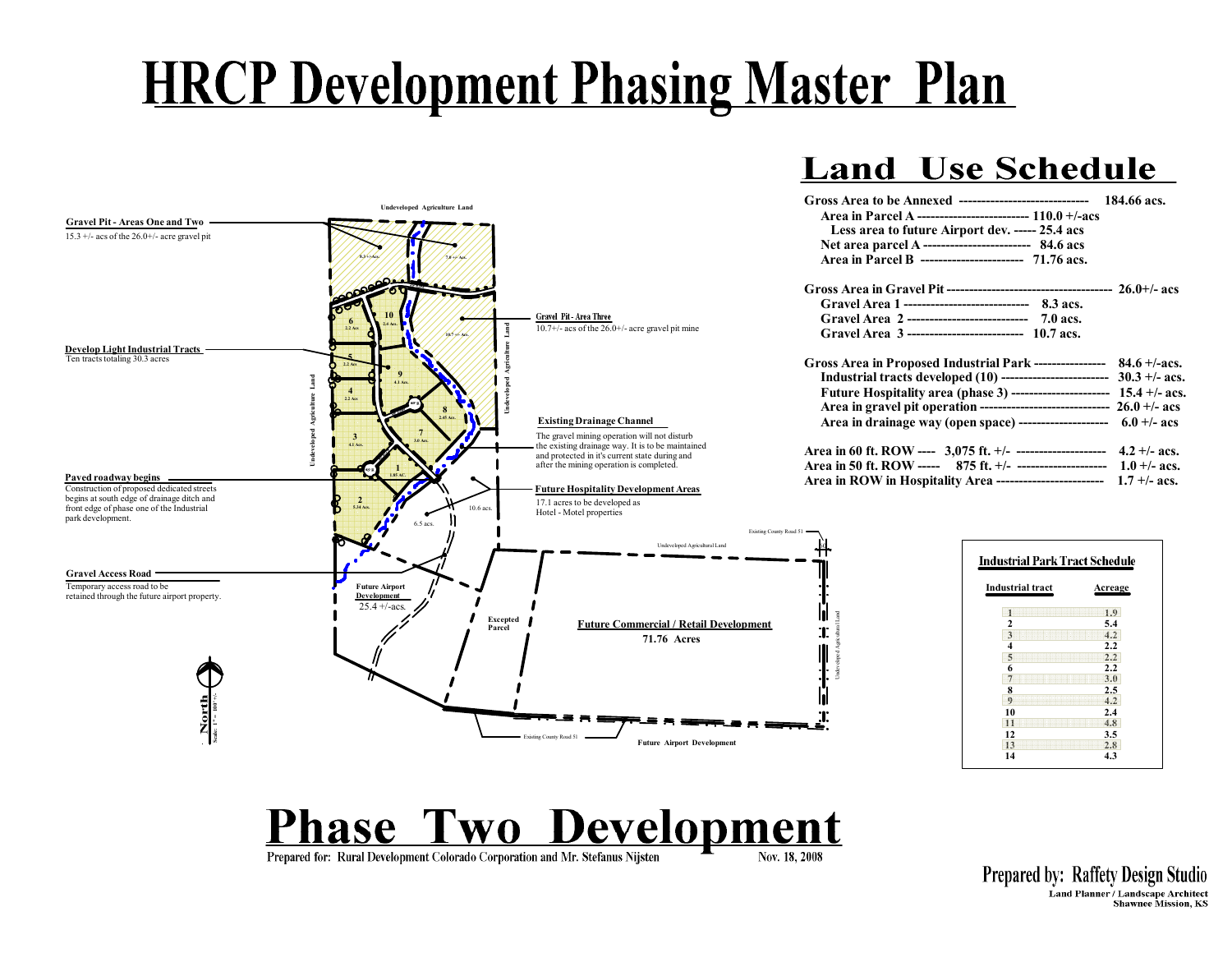#### **Land Use Schedule**



### **Phase Two Development**

Prepared for: Rural Development Colorado Corporation and Mr. Stefanus Nijsten

**Prepared by: Raffety Design Studio** Land Planner / Landscape Architect **Shawnee Mission, KS**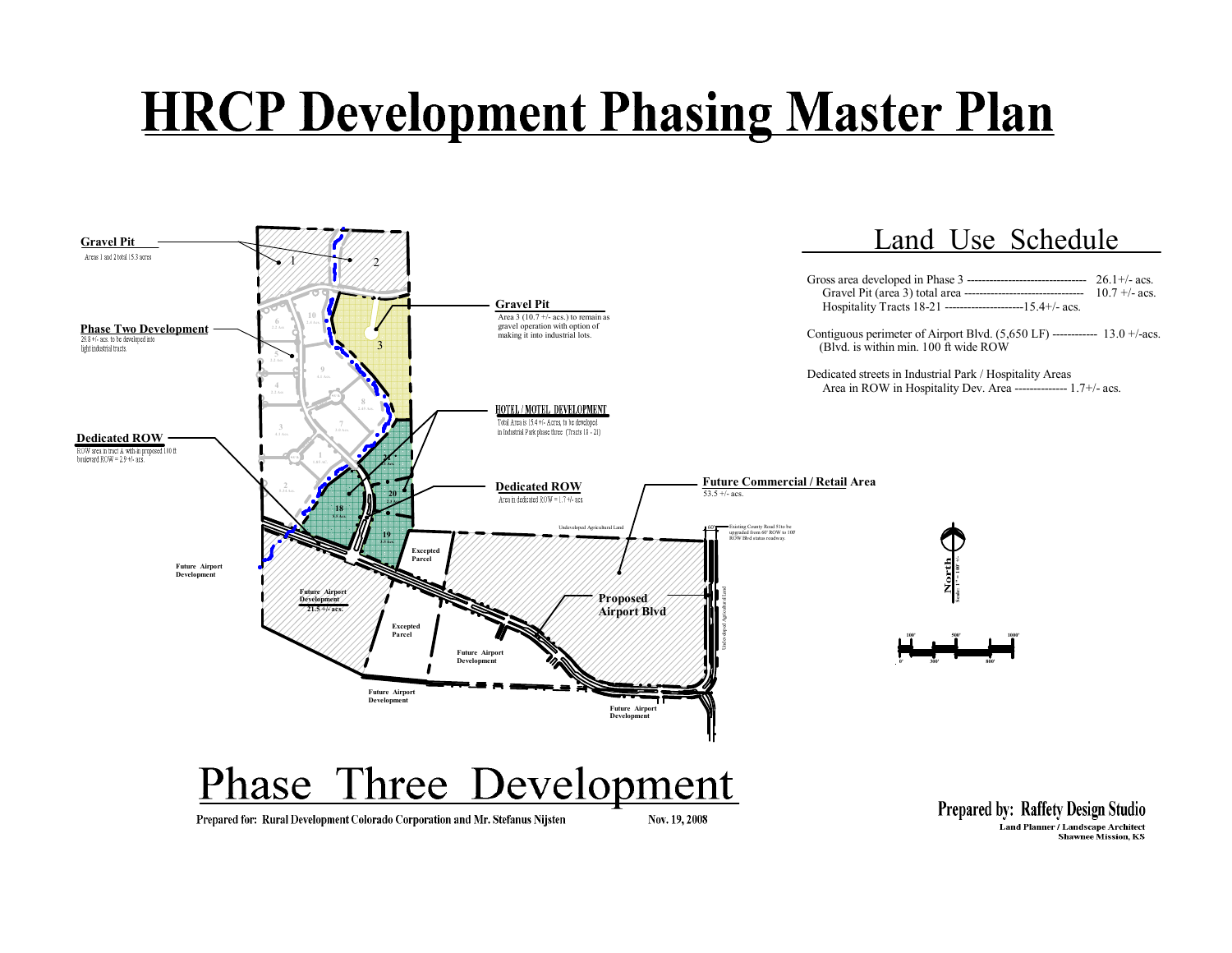

Land Planner / Landscape Architect<br>Shawnee Mission, KS